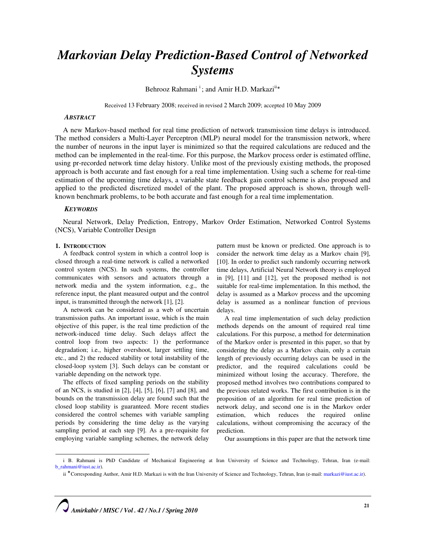# Markovian Delay Prediction-Based Control of Networked Systems

Behrooz Rahmani<sup>i</sup>; and Amir H.D. Markazi<sup>ii\*</sup>

Received 13 February 2008; received in revised 2 March 2009; accepted 10 May 2009

## **ABSTRACT**

A new Markov-based method for real time prediction of network transmission time delays is introduced. The method considers a Multi-Layer Perceptron (MLP) neural model for the transmission network, where the number of neurons in the input layer is minimized so that the required calculations are reduced and the method can be implemented in the real-time. For this purpose, the Markov process order is estimated offline, using pr-recorded network time delay history. Unlike most of the previously existing methods, the proposed approach is both accurate and fast enough for a real time implementation. Using such a scheme for real-time estimation of the upcoming time delays, a variable state feedback gain control scheme is also proposed and applied to the predicted discretized model of the plant. The proposed approach is shown, through wellknown benchmark problems, to be both accurate and fast enough for a real time implementation.

#### **KEYWORDS**

Neural Network, Delay Prediction, Entropy, Markov Order Estimation, Networked Control Systems (NCS), Variable Controller Design

## 1. INTRODUCTION

 $\overline{\phantom{0}}$ 

A feedback control system in which a control loop is closed through a real-time network is called a networked control system (NCS). In such systems, the controller communicates with sensors and actuators through a network media and the system information, e.g., the reference input, the plant measured output and the control input, is transmitted through the network [1], [2].

A network can be considered as a web of uncertain transmission paths. An important issue, which is the main objective of this paper, is the real time prediction of the network-induced time delay. Such delays affect the control loop from two aspects: 1) the performance degradation; i.e., higher overshoot, larger settling time, etc., and 2) the reduced stability or total instability of the closed-loop system [3]. Such delays can be constant or variable depending on the network type.

The effects of fixed sampling periods on the stability of an NCS, is studied in [2], [4], [5], [6], [7] and [8], and bounds on the transmission delay are found such that the closed loop stability is guaranteed. More recent studies considered the control schemes with variable sampling periods by considering the time delay as the varying sampling period at each step [9]. As a pre-requisite for employing variable sampling schemes, the network delay

pattern must be known or predicted. One approach is to consider the network time delay as a Markov chain [9], [10]. In order to predict such randomly occurring network time delays, Artificial Neural Network theory is employed in [9], [11] and [12], yet the proposed method is not suitable for real-time implementation. In this method, the delay is assumed as a Markov process and the upcoming delay is assumed as a nonlinear function of previous delays.

A real time implementation of such delay prediction methods depends on the amount of required real time calculations. For this purpose, a method for determination of the Markov order is presented in this paper, so that by considering the delay as a Markov chain, only a certain length of previously occurring delays can be used in the predictor, and the required calculations could be minimized without losing the accuracy. Therefore, the proposed method involves two contributions compared to the previous related works. The first contribution is in the proposition of an algorithm for real time prediction of network delay, and second one is in the Markov order estimation, which reduces the required online calculations, without compromising the accuracy of the prediction.

Our assumptions in this paper are that the network time

i B. Rahmani is PhD Candidate of Mechanical Engineering at Iran University of Science and Technology, Tehran, Iran (e-mail: b\_rahmani@iust.ac.ir).

ii \* Corresponding Author, Amir H.D. Markazi is with the Iran University of Science and Technology, Tehran, Iran (e-mail: markazi@iust.ac.ir).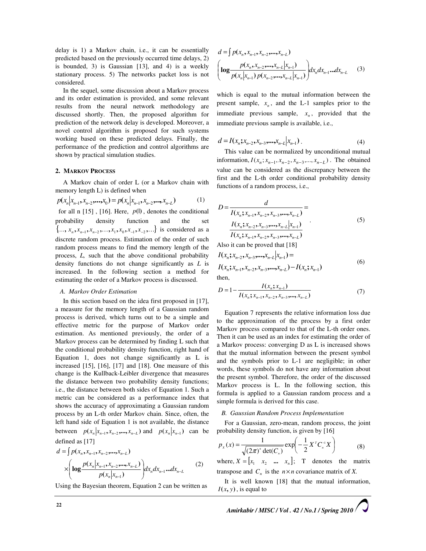delay is 1) a Markov chain, i.e., it can be essentially predicted based on the previously occurred time delays, 2) is bounded, 3) is Gaussian [13], and 4) is a weekly stationary process. 5) The networks packet loss is not considered.

In the sequel, some discussion about a Markov process and its order estimation is provided, and some relevant results from the neural network methodology are discussed shortly. Then, the proposed algorithm for prediction of the network delay is developed. Moreover, a novel control algorithm is proposed for such systems working based on these predicted delays. Finally, the performance of the prediction and control algorithms are shown by practical simulation studies.

## 2. MARKOV PROCESS

A Markov chain of order L (or a Markov chain with memory length L) is defined when

$$
p(x_n | x_{n-1}, x_{n-2}, \dots, x_0) = p(x_n | x_{n-1}, x_{n-2}, \dots, x_{n-L})
$$
 (1)

for all n  $[15]$ ,  $[16]$ . Here,  $p($ ), denotes the conditional probability density function and the set  $\{..., x_n, x_{n-1}, x_{n-2},...,x_1, x_0, x_{-1}, x_{-2},...\}$  is considered as a discrete random process. Estimation of the order of such random process means to find the memory length of the process, L, such that the above conditional probability density functions do not change significantly as  $L$  is increased. In the following section a method for estimating the order of a Markov process is discussed.

#### A. Markov Order Estimation

In this section based on the idea first proposed in [17], a measure for the memory length of a Gaussian random process is derived, which turns out to be a simple and effective metric for the purpose of Markov order estimation. As mentioned previously, the order of a Markov process can be determined by finding L such that the conditional probability density function, right hand of Equation 1, does not change significantly as L is increased [15], [16], [17] and [18]. One measure of this change is the Kullback-Leibler divergence that measures the distance between two probability density functions; i.e., the distance between both sides of Equation 1. Such a metric can be considered as a performance index that shows the accuracy of approximating a Gaussian random process by an L-th order Markov chain. Since, often, the left hand side of Equation 1 is not available, the distance between  $p(x_n | x_{n-1}, x_{n-2},..., x_{n-L})$  and  $p(x_n | x_{n-1})$  can be defined as [17]

$$
d = \int p(x_n, x_{n-1}, x_{n-2}, ..., x_{n-L})
$$
  
 
$$
\times \left( \log \frac{p(x_n | x_{n-1}, x_{n-2}, ..., x_{n-L})}{p(x_n | x_{n-1})} \right) dx_n dx_{n-1} ... dx_{n-L}
$$
 (2)

Using the Bayesian theorem, Equation 2 can be written as

$$
d = \int p(x_n, x_{n-1}, x_{n-2}, \dots, x_{n-L})
$$
  
\n
$$
\left( \log \frac{p(x_n, x_{n-2}, \dots, x_{n-L}|x_{n-1})}{p(x_n|x_{n-1}) p(x_{n-2}, \dots, x_{n-L}|x_{n-1})} \right) dx_n dx_{n-1} \dots dx_{n-L}
$$
 (3)

which is equal to the mutual information between the present sample,  $x_n$ , and the L-1 samples prior to the immediate previous sample,  $x_n$ , provided that the immediate previous sample is available, i.e.,

$$
d = I(x_n; x_{n-2}, x_{n-3}, \dots, x_{n-L}|x_{n-1}). \tag{4}
$$

This value can be normalized by unconditional mutual information,  $I(x_n; x_{n-1}, x_{n-2}, x_{n-3},..., x_{n-L})$ . The obtained value can be considered as the discrepancy between the first and the L-th order conditional probability density functions of a random process, i.e.,

$$
D = \frac{d}{I(x_n; x_{n-1}, x_{n-2}, x_{n-3}, \dots, x_{n-L})} = \frac{I(x_n; x_{n-2}, x_{n-3}, \dots, x_{n-L}|x_{n-1})}{I(x_n; x_{n-1}, x_{n-2}, x_{n-3}, \dots, x_{n-L})}
$$
(5)

Also it can be proved that [18]

$$
I(x_n; x_{n-2}, x_{n-3},...,x_{n-L}|x_{n-1}) =
$$
  
\n
$$
I(x_n; x_{n-1}, x_{n-2}, x_{n-3},...,x_{n-L}) - I(x_n; x_{n-1})
$$
  
\nthen. (6)

$$
D = 1 - \frac{I(x_n; x_{n-1})}{I(x_n; x_{n-1}, x_{n-2}, x_{n-3}, \dots, x_{n-L})}
$$
(7)

Equation 7 represents the relative information loss due to the approximation of the process by a first order Markov process compared to that of the L-th order ones. Then it can be used as an index for estimating the order of a Markov process: converging D as L is increased shows that the mutual information between the present symbol and the symbols prior to L-1 are negligible; in other words, these symbols do not have any information about the present symbol. Therefore, the order of the discussed Markov process is L. In the following section, this formula is applied to a Gaussian random process and a simple formula is derived for this case.

#### B. Gaussian Random Process Implementation

For a Gaussian, zero-mean, random process, the joint probability density function, is given by [16]

$$
p_{x}(x) = \frac{1}{\sqrt{(2\pi)^{n} \det(C_{n})}} \exp\left(-\frac{1}{2}X^{T}C_{n}^{-1}X\right)
$$
(8)

where,  $X = \begin{bmatrix} x_1 & x_2 & \dots & x_n \end{bmatrix}$ ; T denotes the matrix transpose and  $C_n$  is the  $n \times n$  covariance matrix of X.

It is well known [18] that the mutual information,  $I(x, y)$ , is equal to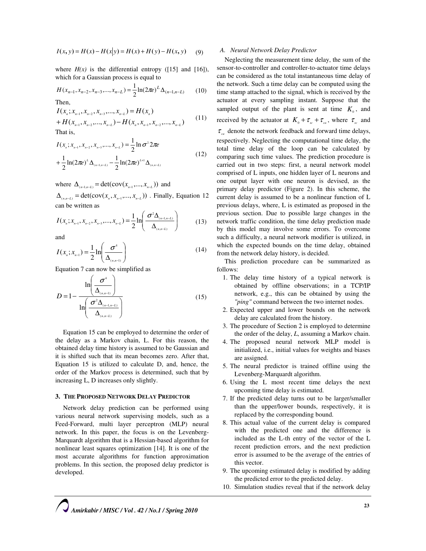$$
I(x, y) = H(x) - H(x|y) = H(x) + H(y) - H(x, y)
$$
 (9)

where  $H(x)$  is the differential entropy ([15] and [16]), which for a Gaussian process is equal to

$$
H(x_{n-1}, x_{n-2}, x_{n-3},..., x_{n-L}) = \frac{1}{2} \ln(2\pi e)^L \Delta_{(n-1, n-L)}
$$
(10)

$$
I(x_n; x_{n-1}, x_{n-2}, x_{n-3},..., x_{n-L}) = H(x_n)
$$
  
+ 
$$
H(x_{n-1}, x_{n-2},..., x_{n-L}) - H(x_n, x_{n-1}, x_{n-2},..., x_{n-L})
$$
 (11)

That is,

$$
I(x_n; x_{n-1}, x_{n-2}, x_{n-3},..., x_{n-L}) = \frac{1}{2} \ln \sigma^2 2\pi e
$$
  
+ 
$$
\frac{1}{2} \ln(2\pi e)^L \Delta_{(n-1,n-L)} - \frac{1}{2} \ln(2\pi e)^{L+1} \Delta_{(n,n-L)}
$$
(12)

where  $\Delta_{(n-1,n-L)} = \det(\text{cov}(x_{n-1},...,x_{n-L}))$  and

 $\Delta_{(n,n-L)} = \det(\text{cov}(x_n, x_{n-1},..., x_{n-L}))$ . Finally, Equation 12 can be written as

$$
I(x_n; x_{n-1}, x_{n-2}, x_{n-3}, ..., x_{n-L}) = \frac{1}{2} \ln \left( \frac{\sigma^2 \Delta_{(n-1,n-L)}}{\Delta_{(n,n-L)}} \right)
$$
(13)

and

$$
I(x_n; x_{n-1}) = \frac{1}{2} \ln \left( \frac{\sigma^4}{\Delta_{(n,n-1)}} \right)
$$
 (14)

Equation 7 can now be simplified as

$$
D = 1 - \frac{\ln\left(\frac{\sigma^4}{\Delta_{(n,n-1)}}\right)}{\ln\left(\frac{\sigma^2 \Delta_{(n-1,n-L)}}{\Delta_{(n,n-L)}}\right)}
$$
(15)

Equation 15 can be employed to determine the order of the delay as a Markov chain, L. For this reason, the obtained delay time history is assumed to be Gaussian and it is shifted such that its mean becomes zero. After that, Equation 15 is utilized to calculate D, and, hence, the order of the Markov process is determined, such that by increasing L, D increases only slightly.

#### 3. THE PROPOSED NETWORK DELAY PREDICTOR

Network delay prediction can be performed using various neural network supervising models, such as a Feed-Forward, multi layer perceptron (MLP) neural network. In this paper, the focus is on the Levenberg-Marquardt algorithm that is a Hessian-based algorithm for nonlinear least squares optimization [14]. It is one of the most accurate algorithms for function approximation problems. In this section, the proposed delay predictor is developed.

#### A. Neural Network Delay Predictor

Neglecting the measurement time delay, the sum of the sensor-to-controller and controller-to-actuator time delays can be considered as the total instantaneous time delay of the network. Such a time delay can be computed using the time stamp attached to the signal, which is received by the actuator at every sampling instant. Suppose that the sampled output of the plant is sent at time  $K_0$ , and received by the actuator at  $K_0 + \tau_{sc} + \tau_{ca}$ , where  $\tau_{sc}$  and  $\tau_{\alpha}$  denote the network feedback and forward time delays, respectively. Neglecting the computational time delay, the total time delay of the loop can be calculated by comparing such time values. The prediction procedure is carried out in two steps: first, a neural network model comprised of L inputs, one hidden layer of L neurons and one output layer with one neuron is devised, as the primary delay predictor (Figure 2). In this scheme, the current delay is assumed to be a nonlinear function of L previous delays, where, L is estimated as proposed in the previous section. Due to possible large changes in the network traffic condition, the time delay prediction made by this model may involve some errors. To overcome such a difficulty, a neural network modifier is utilized, in which the expected bounds on the time delay, obtained from the network delay history, is decided.

This prediction procedure can be summarized as follows:

- 1. The delay time history of a typical network is obtained by offline observations; in a TCP/IP network, e.g., this can be obtained by using the "ping" command between the two internet nodes.
- 2. Expected upper and lower bounds on the network delay are calculated from the history.
- 3. The procedure of Section 2 is employed to determine the order of the delay, L, assuming a Markov chain.
- 4. The proposed neural network MLP model is initialized, i.e., initial values for weights and biases are assigned.
- 5. The neural predictor is trained offline using the Levenberg-Marquardt algorithm.
- 6. Using the L most recent time delays the next upcoming time delay is estimated.
- 7. If the predicted delay turns out to be larger/smaller than the upper/lower bounds, respectively, it is replaced by the corresponding bound.
- 8. This actual value of the current delay is compared with the predicted one and the difference is included as the L-th entry of the vector of the L recent prediction errors, and the next prediction error is assumed to be the average of the entries of this vector.
- 9. The upcoming estimated delay is modified by adding the predicted error to the predicted delay.
- 10. Simulation studies reveal that if the network delay

Amirkabir / MISC / Vol . 42 / No.1 / Spring 2010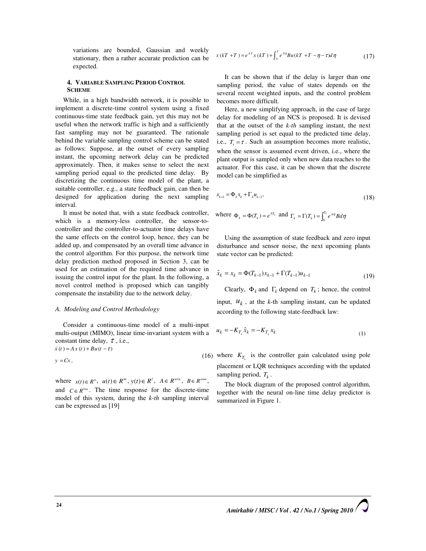variations are bounded, Gaussian and weekly stationary, then a rather accurate prediction can be expected.

## 4. VARIABLE SAMPLING PERIOD CONTROL **SCHEME**

While, in a high bandwidth network, it is possible to implement a discrete-time control system using a fixed continuous-time state feedback gain, yet this may not be useful when the network traffic is high and a sufficiently fast sampling may not be guaranteed. The rationale behind the variable sampling control scheme can be stated as follows: Suppose, at the outset of every sampling instant, the upcoming network delay can be predicted approximately. Then, it makes sense to select the next sampling period equal to the predicted time delay. By discretizing the continuous time model of the plant, a suitable controller, e.g., a state feedback gain, can then be designed for application during the next sampling interval.

It must be noted that, with a state feedback controller, which is a memory-less controller, the sensor-tocontroller and the controller-to-actuator time delays have the same effects on the control loop, hence, they can be added up, and compensated by an overall time advance in the control algorithm. For this purpose, the network time delay prediction method proposed in Section 3, can be used for an estimation of the required time advance in issuing the control input for the plant. In the following, a novel control method is proposed which can tangibly compensate the instability due to the network delay.

#### A. Modeling and Control Methodology

Consider a continuous-time model of a multi-input multi-output (MIMO), linear time-invariant system with a constant time delay,  $\tau$ , i.e.,  $\dot{x}(t) = Ax(t) + Bu(t - \tau)$ 

 $y = Cx$ ,

where  $x(t) \in R^n$ ,  $u(t) \in R^m$ ,  $y(t) \in R^l$ ,  $A \in R^{n \times n}$ ,  $B \in R^{n \times m}$ , and  $C \in R^{1 \times n}$ . The time response for the discrete-time model of this system, during the k-th sampling interval can be expressed as [19]

$$
x(kT + T) = e^{AT}x(kT) + \int_0^T e^{AT}Bu(kT + T - \eta - \tau)d\eta
$$
 (17)

It can be shown that if the delay is larger than one sampling period, the value of states depends on the several recent weighted inputs, and the control problem becomes more difficult.

Here, a new simplifying approach, in the case of large delay for modeling of an NCS is proposed. It is devised that at the outset of the  $k$ -th sampling instant, the next sampling period is set equal to the predicted time delay, i.e.,  $T_k = \tau$ . Such an assumption becomes more realistic, when the sensor is assumed event driven, i.e., where the plant output is sampled only when new data reaches to the actuator. For this case, it can be shown that the discrete model can be simplified as

$$
x_{k+1} = \Phi_k x_k + \Gamma_k u_{k-1},
$$
\n(18)

where  $\Phi_k = \Phi(T_k) = e^{AT_k}$  and  $\Gamma_k = \Gamma(T_k) = \int_0^{T_k} e^{AT_k} B d\eta$ 

Using the assumption of state feedback and zero input disturbance and sensor noise, the next upcoming plants state vector can be predicted:

$$
\hat{x}_k = x_k = \Phi(T_{k-1})x_{k-1} + \Gamma(T_{k-1})u_{k-1}
$$
\n(19)

Clearly,  $\Phi_k$  and  $\Gamma_k$  depend on  $T_k$ ; hence, the control input,  $u_k$ , at the k-th sampling instant, can be updated according to the following state-feedback law:

$$
u_k = -K_{T_k} \hat{x}_k = -K_{T_k} x_k \tag{1}
$$

(16) where  $K_{T_k}$  is the controller gain calculated using pole placement or LQR techniques according with the updated sampling period,  $T_k$ .

The block diagram of the proposed control algorithm, together with the neural on-line time delay predictor is summarized in Figure 1.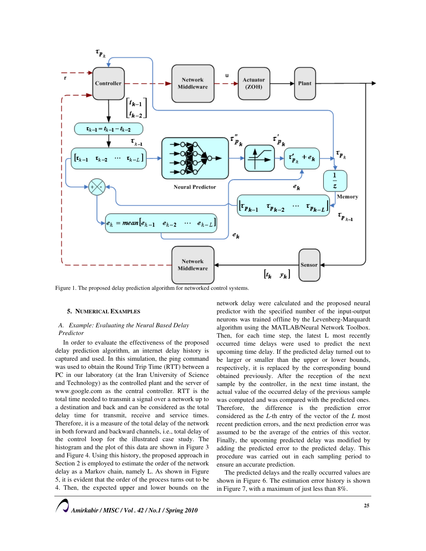

Figure 1. The proposed delay prediction algorithm for networked control systems.

## 5. NUMERICAL EXAMPLES

## A. Example: Evaluating the Neural Based Delay Predictor

In order to evaluate the effectiveness of the proposed delay prediction algorithm, an internet delay history is captured and used. In this simulation, the ping command was used to obtain the Round Trip Time (RTT) between a PC in our laboratory (at the Iran University of Science and Technology) as the controlled plant and the server of www.google.com as the central controller. RTT is the total time needed to transmit a signal over a network up to a destination and back and can be considered as the total delay time for transmit, receive and service times. Therefore, it is a measure of the total delay of the network in both forward and backward channels, i.e., total delay of the control loop for the illustrated case study. The histogram and the plot of this data are shown in Figure 3 and Figure 4. Using this history, the proposed approach in Section 2 is employed to estimate the order of the network delay as a Markov chain, namely L. As shown in Figure 5, it is evident that the order of the process turns out to be 4. Then, the expected upper and lower bounds on the network delay were calculated and the proposed neural predictor with the specified number of the input-output neurons was trained offline by the Levenberg-Marquardt algorithm using the MATLAB/Neural Network Toolbox. Then, for each time step, the latest L most recently occurred time delays were used to predict the next upcoming time delay. If the predicted delay turned out to be larger or smaller than the upper or lower bounds, respectively, it is replaced by the corresponding bound obtained previously. After the reception of the next sample by the controller, in the next time instant, the actual value of the occurred delay of the previous sample was computed and was compared with the predicted ones. Therefore, the difference is the prediction error considered as the L-th entry of the vector of the L most recent prediction errors, and the next prediction error was assumed to be the average of the entries of this vector. Finally, the upcoming predicted delay was modified by adding the predicted error to the predicted delay. This procedure was carried out in each sampling period to ensure an accurate prediction.

The predicted delays and the really occurred values are shown in Figure 6. The estimation error history is shown in Figure 7, with a maximum of just less than 8%.

Amirkabir / MISC / Vol . 42 / No.1 / Spring 2010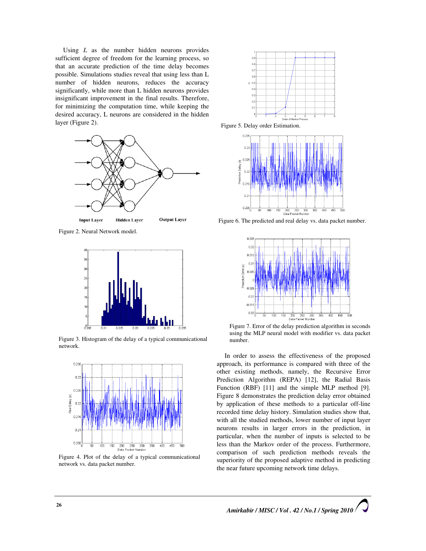Using  $L$  as the number hidden neurons provides sufficient degree of freedom for the learning process, so that an accurate prediction of the time delay becomes possible. Simulations studies reveal that using less than L number of hidden neurons, reduces the accuracy significantly, while more than L hidden neurons provides insignificant improvement in the final results. Therefore, for minimizing the computation time, while keeping the desired accuracy, L neurons are considered in the hidden layer (Figure 2).



Figure 2. Neural Network model.



Figure 3. Histogram of the delay of a typical communicational network.



Figure 4. Plot of the delay of a typical communicational network vs. data packet number.



Figure 5. Delay order Estimation.



Figure 6. The predicted and real delay vs. data packet number.



Figure 7. Error of the delay prediction algorithm in seconds using the MLP neural model with modifier vs. data packet number.

In order to assess the effectiveness of the proposed approach, its performance is compared with three of the other existing methods, namely, the Recursive Error Prediction Algorithm (REPA) [12], the Radial Basis Function (RBF) [11] and the simple MLP method [9]. Figure 8 demonstrates the prediction delay error obtained by application of these methods to a particular off-line recorded time delay history. Simulation studies show that, with all the studied methods, lower number of input layer neurons results in larger errors in the prediction, in particular, when the number of inputs is selected to be less than the Markov order of the process. Furthermore, comparison of such prediction methods reveals the superiority of the proposed adaptive method in predicting the near future upcoming network time delays.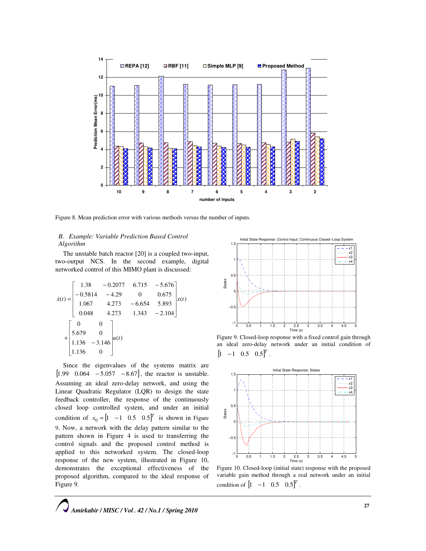

Figure 8. Mean prediction error with various methods versus the number of inputs.

# B. Example: Variable Prediction Based Control Algorithm

The unstable batch reactor [20] is a coupled two-input, two-output NCS. In the second example, digital networked control of this MIMO plant is discussed:

$$
\dot{x}(t) = \begin{bmatrix} 1.38 & -0.2077 & 6.715 & -5.676 \\ -0.5814 & -4.29 & 0 & 0.675 \\ 1.067 & 4.273 & -6.654 & 5.893 \\ 0.048 & 4.273 & 1.343 & -2.104 \end{bmatrix} x(t)
$$

$$
+ \begin{bmatrix} 0 & 0 \\ 5.679 & 0 \\ 1.136 & -3.146 \\ 1.136 & 0 \end{bmatrix} u(t)
$$

Since the eigenvalues of the systems matrix are  $[1.99 \quad 0.064 \quad -5.057 \quad -8.67]$ , the reactor is unstable. Assuming an ideal zero-delay network, and using the Linear Quadratic Regulator (LQR) to design the state feedback controller, the response of the continuously closed loop controlled system, and under an initial condition of  $x_0 = \begin{bmatrix} 1 & -1 & 0.5 & 0.5 \end{bmatrix}^T$  is shown in Figure 9. Now, a network with the delay pattern similar to the pattern shown in Figure 4 is used to transferring the control signals and the proposed control method is applied to this networked system. The closed-loop response of the new system, illustrated in Figure 10, demonstrates the exceptional effectiveness of the proposed algorithm, compared to the ideal response of Figure 9.



Figure 9. Closed-loop response with a fixed control gain through an ideal zero-delay network under an initial condition of  $[1 \ -1 \ 0.5 \ 0.5]^T$ .



Figure 10. Closed-loop (initial state) response with the proposed variable gain method through a real network under an initial condition of  $\begin{bmatrix} 1 & -1 & 0.5 & 0.5 \end{bmatrix}^T$ .